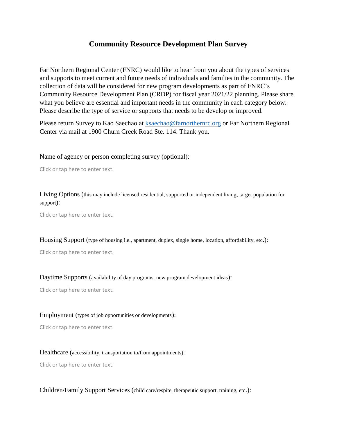## **Community Resource Development Plan Survey**

Far Northern Regional Center (FNRC) would like to hear from you about the types of services and supports to meet current and future needs of individuals and families in the community. The collection of data will be considered for new program developments as part of FNRC's Community Resource Development Plan (CRDP) for fiscal year 2021/22 planning. Please share what you believe are essential and important needs in the community in each category below. Please describe the type of service or supports that needs to be develop or improved.

Please return Survey to Kao Saechao at **ksaechao@farnorthernrc.org** or Far Northern Regional Center via mail at 1900 Churn Creek Road Ste. 114. Thank you.

Name of agency or person completing survey (optional):

Click or tap here to enter text.

Living Options (this may include licensed residential, supported or independent living, target population for support):

Click or tap here to enter text.

Housing Support (type of housing i.e., apartment, duplex, single home, location, affordability, etc.):

Click or tap here to enter text.

Daytime Supports (availability of day programs, new program development ideas):

Click or tap here to enter text.

Employment (types of job opportunities or developments):

Click or tap here to enter text.

Healthcare (accessibility, transportation to/from appointments):

Click or tap here to enter text.

Children/Family Support Services (child care/respite, therapeutic support, training, etc.):